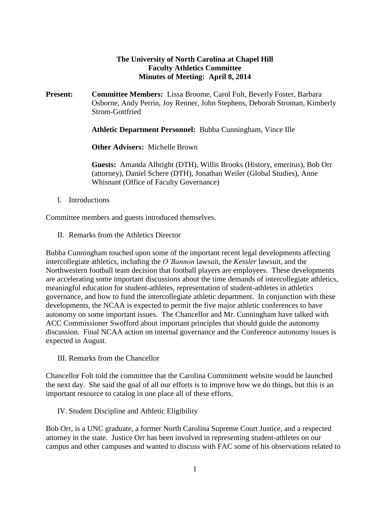#### **The University of North Carolina at Chapel Hill Faculty Athletics Committee Minutes of Meeting: April 8, 2014**

**Present: Committee Members:** Lissa Broome, Carol Folt, Beverly Foster, Barbara Osborne, Andy Perrin, Joy Renner, John Stephens, Deborah Stroman, Kimberly Strom-Gottfried

**Athletic Department Personnel:** Bubba Cunningham, Vince Ille

**Other Advisers:** Michelle Brown

**Guests:** Amanda Albright (DTH), Willis Brooks (History, emeritus), Bob Orr (attorney), Daniel Schere (DTH), Jonathan Weiler (Global Studies), Anne Whisnant (Office of Faculty Governance)

I. Introductions

Committee members and guests introduced themselves.

II. Remarks from the Athletics Director

Bubba Cunningham touched upon some of the important recent legal developments affecting intercollegiate athletics, including the *O'Bannon* lawsuit, the *Kessler* lawsuit, and the Northwestern football team decision that football players are employees. These developments are accelerating some important discussions about the time demands of intercollegiate athletics, meaningful education for student-athletes, representation of student-athletes in athletics governance, and how to fund the intercollegiate athletic department. In conjunction with these developments, the NCAA is expected to permit the five major athletic conferences to have autonomy on some important issues. The Chancellor and Mr. Cunningham have talked with ACC Commissioner Swofford about important principles that should guide the autonomy discussion. Final NCAA action on internal governance and the Conference autonomy issues is expected in August.

III. Remarks from the Chancellor

Chancellor Folt told the committee that the Carolina Commitment website would be launched the next day. She said the goal of all our efforts is to improve how we do things, but this is an important resource to catalog in one place all of these efforts.

IV. Student Discipline and Athletic Eligibility

Bob Orr, is a UNC graduate, a former North Carolina Supreme Court Justice, and a respected attorney in the state. Justice Orr has been involved in representing student-athletes on our campus and other campuses and wanted to discuss with FAC some of his observations related to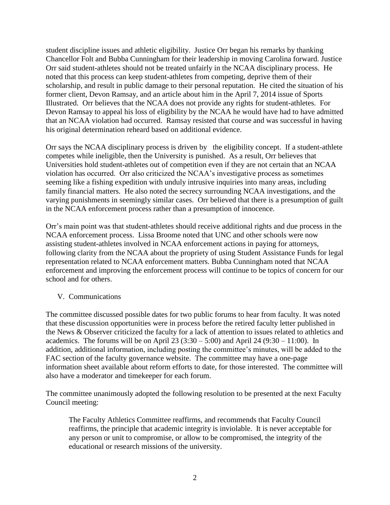student discipline issues and athletic eligibility. Justice Orr began his remarks by thanking Chancellor Folt and Bubba Cunningham for their leadership in moving Carolina forward. Justice Orr said student-athletes should not be treated unfairly in the NCAA disciplinary process. He noted that this process can keep student-athletes from competing, deprive them of their scholarship, and result in public damage to their personal reputation. He cited the situation of his former client, Devon Ramsay, and an article about him in the April 7, 2014 issue of Sports Illustrated. Orr believes that the NCAA does not provide any rights for student-athletes. For Devon Ramsay to appeal his loss of eligibility by the NCAA he would have had to have admitted that an NCAA violation had occurred. Ramsay resisted that course and was successful in having his original determination reheard based on additional evidence.

Orr says the NCAA disciplinary process is driven by the eligibility concept. If a student-athlete competes while ineligible, then the University is punished. As a result, Orr believes that Universities hold student-athletes out of competition even if they are not certain that an NCAA violation has occurred. Orr also criticized the NCAA's investigative process as sometimes seeming like a fishing expedition with unduly intrusive inquiries into many areas, including family financial matters. He also noted the secrecy surrounding NCAA investigations, and the varying punishments in seemingly similar cases. Orr believed that there is a presumption of guilt in the NCAA enforcement process rather than a presumption of innocence.

Orr's main point was that student-athletes should receive additional rights and due process in the NCAA enforcement process. Lissa Broome noted that UNC and other schools were now assisting student-athletes involved in NCAA enforcement actions in paying for attorneys, following clarity from the NCAA about the propriety of using Student Assistance Funds for legal representation related to NCAA enforcement matters. Bubba Cunningham noted that NCAA enforcement and improving the enforcement process will continue to be topics of concern for our school and for others.

#### V. Communications

The committee discussed possible dates for two public forums to hear from faculty. It was noted that these discussion opportunities were in process before the retired faculty letter published in the News & Observer criticized the faculty for a lack of attention to issues related to athletics and academics. The forums will be on April 23  $(3:30 - 5:00)$  and April 24  $(9:30 - 11:00)$ . In addition, additional information, including posting the committee's minutes, will be added to the FAC section of the faculty governance website. The committee may have a one-page information sheet available about reform efforts to date, for those interested. The committee will also have a moderator and timekeeper for each forum.

The committee unanimously adopted the following resolution to be presented at the next Faculty Council meeting:

The Faculty Athletics Committee reaffirms, and recommends that Faculty Council reaffirms, the principle that academic integrity is inviolable. It is never acceptable for any person or unit to compromise, or allow to be compromised, the integrity of the educational or research missions of the university.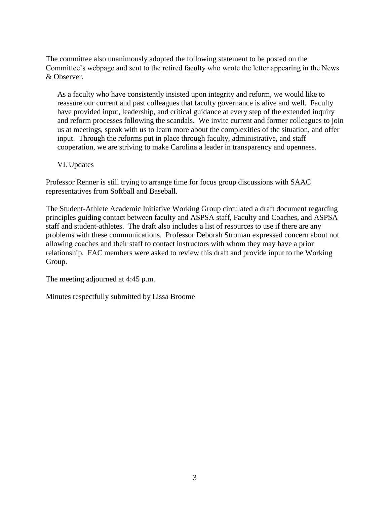The committee also unanimously adopted the following statement to be posted on the Committee's webpage and sent to the retired faculty who wrote the letter appearing in the News & Observer.

As a faculty who have consistently insisted upon integrity and reform, we would like to reassure our current and past colleagues that faculty governance is alive and well. Faculty have provided input, leadership, and critical guidance at every step of the extended inquiry and reform processes following the scandals. We invite current and former colleagues to join us at meetings, speak with us to learn more about the complexities of the situation, and offer input. Through the reforms put in place through faculty, administrative, and staff cooperation, we are striving to make Carolina a leader in transparency and openness.

VI. Updates

Professor Renner is still trying to arrange time for focus group discussions with SAAC representatives from Softball and Baseball.

The Student-Athlete Academic Initiative Working Group circulated a draft document regarding principles guiding contact between faculty and ASPSA staff, Faculty and Coaches, and ASPSA staff and student-athletes. The draft also includes a list of resources to use if there are any problems with these communications. Professor Deborah Stroman expressed concern about not allowing coaches and their staff to contact instructors with whom they may have a prior relationship. FAC members were asked to review this draft and provide input to the Working Group.

The meeting adjourned at 4:45 p.m.

Minutes respectfully submitted by Lissa Broome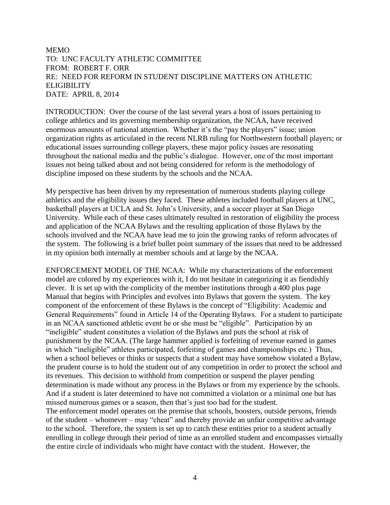#### MEMO TO: UNC FACULTY ATHLETIC COMMITTEE FROM: ROBERT F. ORR RE: NEED FOR REFORM IN STUDENT DISCIPLINE MATTERS ON ATHLETIC ELIGIBILITY DATE: APRIL 8, 2014

INTRODUCTION: Over the course of the last several years a host of issues pertaining to college athletics and its governing membership organization, the NCAA, have received enormous amounts of national attention. Whether it's the "pay the players" issue; union organization rights as articulated in the recent NLRB ruling for Northwestern football players; or educational issues surrounding college players, these major policy issues are resonating throughout the national media and the public's dialogue. However, one of the most important issues not being talked about and not being considered for reform is the methodology of discipline imposed on these students by the schools and the NCAA.

My perspective has been driven by my representation of numerous students playing college athletics and the eligibility issues they faced. These athletes included football players at UNC, basketball players at UCLA and St. John's University, and a soccer player at San Diego University. While each of these cases ultimately resulted in restoration of eligibility the process and application of the NCAA Bylaws and the resulting application of those Bylaws by the schools involved and the NCAA have lead me to join the growing ranks of reform advocates of the system. The following is a brief bullet point summary of the issues that need to be addressed in my opinion both internally at member schools and at large by the NCAA.

ENFORCEMENT MODEL OF THE NCAA: While my characterizations of the enforcement model are colored by my experiences with it, I do not hesitate in categorizing it as fiendishly clever. It is set up with the complicity of the member institutions through a 400 plus page Manual that begins with Principles and evolves into Bylaws that govern the system. The key component of the enforcement of these Bylaws is the concept of "Eligibility: Academic and General Requirements" found in Article 14 of the Operating Bylaws. For a student to participate in an NCAA sanctioned athletic event he or she must be "eligible". Participation by an "ineligible" student constitutes a violation of the Bylaws and puts the school at risk of punishment by the NCAA. (The large hammer applied is forfeiting of revenue earned in games in which "ineligible" athletes participated, forfeiting of games and championships etc.) Thus, when a school believes or thinks or suspects that a student may have somehow violated a Bylaw, the prudent course is to hold the student out of any competition in order to protect the school and its revenues. This decision to withhold from competition or suspend the player pending determination is made without any process in the Bylaws or from my experience by the schools. And if a student is later determined to have not committed a violation or a minimal one but has missed numerous games or a season, then that's just too bad for the student. The enforcement model operates on the premise that schools, boosters, outside persons, friends

of the student – whomever – may "cheat" and thereby provide an unfair competitive advantage to the school. Therefore, the system is set up to catch these entities prior to a student actually enrolling in college through their period of time as an enrolled student and encompasses virtually the entire circle of individuals who might have contact with the student. However, the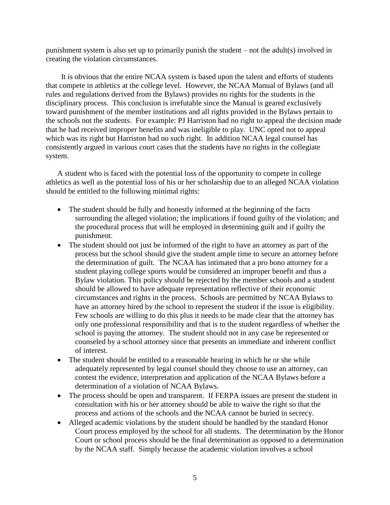punishment system is also set up to primarily punish the student – not the adult(s) involved in creating the violation circumstances.

 It is obvious that the entire NCAA system is based upon the talent and efforts of students that compete in athletics at the college level. However, the NCAA Manual of Bylaws (and all rules and regulations derived from the Bylaws) provides no rights for the students in the disciplinary process. This conclusion is irrefutable since the Manual is geared exclusively toward punishment of the member institutions and all rights provided in the Bylaws pertain to the schools not the students. For example: PJ Harriston had no right to appeal the decision made that he had received improper benefits and was ineligible to play. UNC opted not to appeal which was its right but Harriston had no such right. In addition NCAA legal counsel has consistently argued in various court cases that the students have no rights in the collegiate system.

A student who is faced with the potential loss of the opportunity to compete in college athletics as well as the potential loss of his or her scholarship due to an alleged NCAA violation should be entitled to the following minimal rights:

- The student should be fully and honestly informed at the beginning of the facts surrounding the alleged violation; the implications if found guilty of the violation; and the procedural process that will be employed in determining guilt and if guilty the punishment.
- The student should not just be informed of the right to have an attorney as part of the process but the school should give the student ample time to secure an attorney before the determination of guilt. The NCAA has intimated that a pro bono attorney for a student playing college sports would be considered an improper benefit and thus a Bylaw violation. This policy should be rejected by the member schools and a student should be allowed to have adequate representation reflective of their economic circumstances and rights in the process. Schools are permitted by NCAA Bylaws to have an attorney hired by the school to represent the student if the issue is eligibility. Few schools are willing to do this plus it needs to be made clear that the attorney has only one professional responsibility and that is to the student regardless of whether the school is paying the attorney. The student should not in any case be represented or counseled by a school attorney since that presents an immediate and inherent conflict of interest.
- The student should be entitled to a reasonable hearing in which he or she while adequately represented by legal counsel should they choose to use an attorney, can contest the evidence, interpretation and application of the NCAA Bylaws before a determination of a violation of NCAA Bylaws.
- The process should be open and transparent. If FERPA issues are present the student in consultation with his or her attorney should be able to waive the right so that the process and actions of the schools and the NCAA cannot be buried in secrecy.
- Alleged academic violations by the student should be handled by the standard Honor Court process employed by the school for all students. The determination by the Honor Court or school process should be the final determination as opposed to a determination by the NCAA staff. Simply because the academic violation involves a school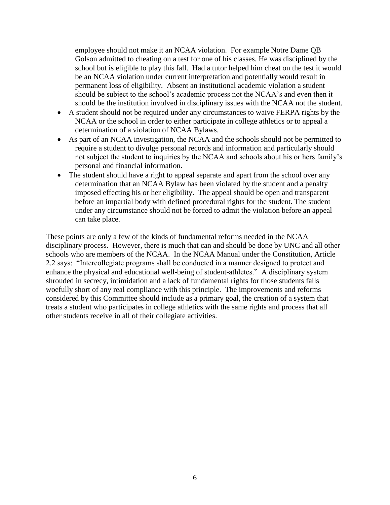employee should not make it an NCAA violation. For example Notre Dame QB Golson admitted to cheating on a test for one of his classes. He was disciplined by the school but is eligible to play this fall. Had a tutor helped him cheat on the test it would be an NCAA violation under current interpretation and potentially would result in permanent loss of eligibility. Absent an institutional academic violation a student should be subject to the school's academic process not the NCAA's and even then it should be the institution involved in disciplinary issues with the NCAA not the student.

- A student should not be required under any circumstances to waive FERPA rights by the NCAA or the school in order to either participate in college athletics or to appeal a determination of a violation of NCAA Bylaws.
- As part of an NCAA investigation, the NCAA and the schools should not be permitted to require a student to divulge personal records and information and particularly should not subject the student to inquiries by the NCAA and schools about his or hers family's personal and financial information.
- The student should have a right to appeal separate and apart from the school over any determination that an NCAA Bylaw has been violated by the student and a penalty imposed effecting his or her eligibility. The appeal should be open and transparent before an impartial body with defined procedural rights for the student. The student under any circumstance should not be forced to admit the violation before an appeal can take place.

These points are only a few of the kinds of fundamental reforms needed in the NCAA disciplinary process. However, there is much that can and should be done by UNC and all other schools who are members of the NCAA. In the NCAA Manual under the Constitution, Article 2.2 says: "Intercollegiate programs shall be conducted in a manner designed to protect and enhance the physical and educational well-being of student-athletes." A disciplinary system shrouded in secrecy, intimidation and a lack of fundamental rights for those students falls woefully short of any real compliance with this principle. The improvements and reforms considered by this Committee should include as a primary goal, the creation of a system that treats a student who participates in college athletics with the same rights and process that all other students receive in all of their collegiate activities.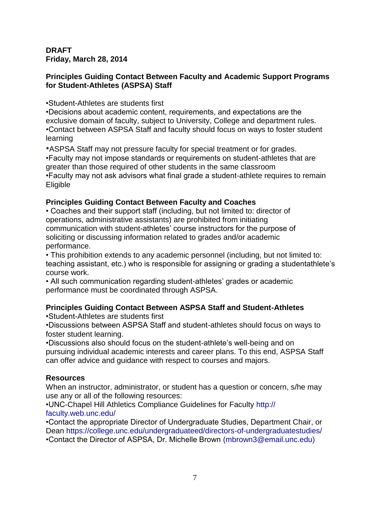### **DRAFT Friday, March 28, 2014**

### **Principles Guiding Contact Between Faculty and Academic Support Programs for Student-Athletes (ASPSA) Staff**

•Student-Athletes are students first

•Decisions about academic content, requirements, and expectations are the exclusive domain of faculty, subject to University, College and department rules. •Contact between ASPSA Staff and faculty should focus on ways to foster student learning

•ASPSA Staff may not pressure faculty for special treatment or for grades. •Faculty may not impose standards or requirements on student-athletes that are greater than those required of other students in the same classroom •Faculty may not ask advisors what final grade a student-athlete requires to remain Eligible

# **Principles Guiding Contact Between Faculty and Coaches**

• Coaches and their support staff (including, but not limited to: director of operations, administrative assistants) are prohibited from initiating communication with student-athletes' course instructors for the purpose of soliciting or discussing information related to grades and/or academic performance.

• This prohibition extends to any academic personnel (including, but not limited to: teaching assistant, etc.) who is responsible for assigning or grading a studentathlete's course work.

• All such communication regarding student-athletes' grades or academic performance must be coordinated through ASPSA.

## **Principles Guiding Contact Between ASPSA Staff and Student-Athletes**

•Student-Athletes are students first

•Discussions between ASPSA Staff and student-athletes should focus on ways to foster student learning.

•Discussions also should focus on the student-athlete's well-being and on pursuing individual academic interests and career plans. To this end, ASPSA Staff can offer advice and guidance with respect to courses and majors.

## **Resources**

When an instructor, administrator, or student has a question or concern, s/he may use any or all of the following resources:

•UNC-Chapel Hill Athletics Compliance Guidelines for Faculty http:// faculty.web.unc.edu/

•Contact the appropriate Director of Undergraduate Studies, Department Chair, or Dean https://college.unc.edu/undergraduateed/directors-of-undergraduatestudies/ •Contact the Director of ASPSA, Dr. Michelle Brown (mbrown3@email.unc.edu)